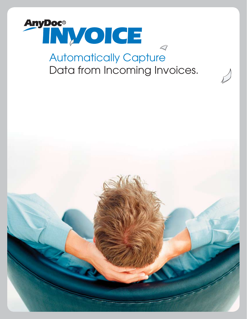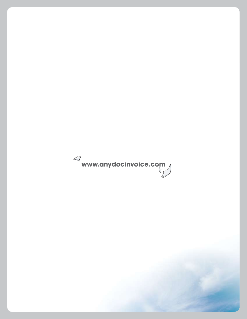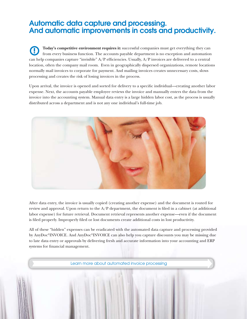## Automatic data capture and processing. And automatic improvements in costs and productivity.

**Today's competitive environment requires it:** successful companies must get everything they can from every business function. The accounts payable department is no exception and automation can help companies capture "invisible"  $A/P$  efficiencies. Usually,  $A/P$  invoices are delivered to a central location, often the company mail room. Even in geographically dispersed organizations, remote locations normally mail invoices to corporate for payment. And mailing invoices creates unnecessary costs, slows processing and creates the risk of losing invoices in the process. **!**

Upon arrival, the invoice is opened and sorted for delivery to a specific individual—creating another labor expense. Next, the accounts payable employee reviews the invoice and manually enters the data from the invoice into the accounting system. Manual data entry is a large hidden labor cost, as the process is usually distributed across a department and is not any one individual's full-time job.



After data entry, the invoice is usually copied (creating another expense) and the document is routed for review and approval. Upon return to the A/P department, the document is filed in a cabinet (at additional labor expense) for future retrieval. Document retrieval represents another expense—even if the document is filed properly. Improperly filed or lost documents create additional costs in lost productivity.

All of these "hidden" expenses can be eradicated with the automated data capture and processing provided by AnyDoc®INVOICE. And AnyDoc®INVOICE can also help you capture discounts you may be missing due to late data entry or approvals by delivering fresh and accurate information into your accounting and ERP systems for financial management.

Learn more about automated invoice processing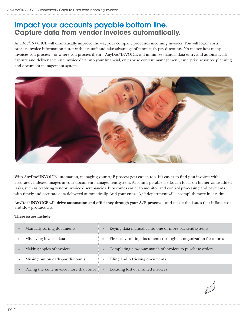## Impact your accounts payable bottom line. **Capture data from vendor invoices automatically.**

AnyDoc®INVOICE will dramatically improve the way your company processes incoming invoices. You will lower costs, process invoice information faster with less staff and take advantage of more early-pay discounts. No matter how many invoices you process—or where you process them—AnyDoc®INVOICE will minimize manual data entry and automatically capture and deliver accurate invoice data into your financial, enterprise content management, enterprise resource planning and document management systems.



With AnyDoc®INVOICE automation, managing your A/P process gets easier, too. It's easier to find past invoices with accurately indexed images in your document management system. Accounts payable clerks can focus on higher value-added tasks, such as resolving vendor invoice discrepancies. It becomes easier to monitor and control processing and payments with timely and accurate data delivered automatically. And your entire A/P department will accomplish more in less time.

**AnyDoc®INVOICE will drive automation and efficiency through your A/P process**—and tackle the issues that inflate costs and slow productivity.

## **These issues include:**

| $\rightarrow$ | Manually sorting documents               | $\rangle$     | Keying data manually into one or more backend systems             |
|---------------|------------------------------------------|---------------|-------------------------------------------------------------------|
| $\rightarrow$ | Miskeying invoice data                   | $\rightarrow$ | Physically routing documents through an organization for approval |
| $\rightarrow$ | Making copies of invoices                | $\rightarrow$ | Completing a two-way match of invoices to purchase orders         |
| $\rightarrow$ | Missing out on early-pay discounts       | $\rightarrow$ | Filing and retrieving documents                                   |
| $\rightarrow$ | Paying the same invoice more than once ! | $\rightarrow$ | Locating lost or misfiled invoices                                |

pg. 2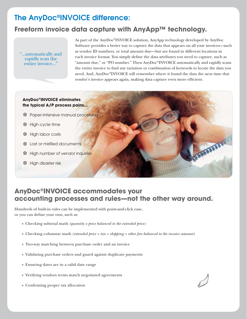# The AnyDoc®INVOICE difference:

## **Freeform invoice data capture with AnyApp™ technology.**

"...automatically and rapidly scan the entire invoice...

As part of the AnyDoc®INVOICE solution, AnyApp technology developed by AnyDoc Software provides a better way to capture the data that appears on all your invoices—such as vendor ID numbers, or total amount due—but are found in different locations in each invoice format. You simply define the data attributes you need to capture, such as "amount due," or "PO number." Then AnyDoc®INVOICE automatically and rapidly scans the entire invoice to find any variation or combination of keywords to locate the data you need. And, AnyDoc®INVOICE will remember where it found the data the next time that vendor's invoice appears again, making data capture even more efficient.

**ASSISSIN** 

## **AnyDoc®INVOICE eliminates the typical A/P process pains...**

- Paper-intensive manual processing
- High cycle time
- High labor costs
- Lost or misfiled documents
- High number of vendor inquiries
- High disaster risk

## **AnyDoc®INVOICE accommodates your accounting processes and rules—not the other way around.**

Hundreds of built-in rules can be implemented with point-and-click ease, or you can define your own, such as:

- Checking subtotal math *(quantity x price balanced to the extended price)* »
- Checking columnar math *(extended price + tax + shipping + other fees balanced to the invoice amount)* »
- Two-way matching between purchase order and an invoice »
- Validating purchase orders and guard against duplicate payments »
- Ensuring dates are in a valid date range »
- » Verifying vendors terms match negotiated agreements
- Confirming proper tax allocation »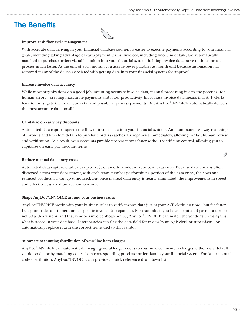# The Benefits



### **Improve cash flow cycle management**

With accurate data arriving in your financial database sooner, its easier to execute payments according to your financial goals, including taking advantage of early-payment terms. Invoices, including line-item details, are automatically matched to purchase orders via table-lookup into your financial system, helping invoice data move to the approval process much faster. At the end of each month, you accrue fewer payables at month-end because automation has removed many of the delays associated with getting data into your financial systems for approval.

#### **Increase invoice data accuracy**

While most organizations do a good job inputting accurate invoice data, manual processing invites the potential for human errors—creating inaccurate payments and lower productivity. Inaccurate invoice data means that A/P clerks have to investigate the error, correct it and possibly reprocess payments. But AnyDoc®INVOICE automatically delivers the most accurate data possible.

## **Capitalize on early pay discounts**

Automated data capture speeds the flow of invoice data into your financial systems. And automated two-way matching of invoices and line-item details to purchase orders catches discrepancies immediately, allowing for fast human review and verification. As a result, your accounts payable process moves faster without sacrificing control, allowing you to capitalize on early-pay discount terms.

#### **Reduce manual data entry costs**

Automated data capture eradicates up to 75% of an often-hidden labor cost: data entry. Because data entry is often dispersed across your department, with each team member performing a portion of the data entry, the costs and reduced productivity can go unnoticed. But once manual data entry is nearly eliminated, the improvements in speed and effectiveness are dramatic and obvious.

## **Shape AnyDoc®INVOICE around your business rules**

AnyDoc®INVOICE works with your business rules to verify invoice data just as your A/P clerks do now—but far faster. Exception rules alert operators to specific invoice discrepancies. For example, if you have negotiated payment terms of net 60 with a vendor, and that vendor's invoice shows net 30, AnyDoc®INVOICE can match the vendor's terms against what is stored in your database. Discrepancies can flag the data field for review by an A/P clerk or supervisor—or automatically replace it with the correct terms tied to that vendor.

## **Automate accounting distribution of your line-item charges**

AnyDoc®INVOICE can automatically assign general ledger codes to your invoice line-item charges, either via a default vendor code, or by matching codes from corresponding purchase order data in your financial system. For faster manual code distribution, AnyDoc®INVOICE can provide a quick-reference drop-down list.

 $\bigwedge$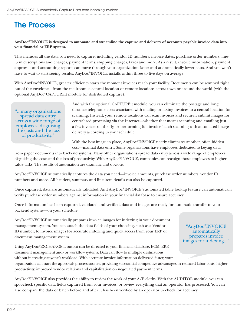# The Process

## **AnyDoc®INVOICE is designed to automate and streamline the capture and delivery of accounts payable invoice data into your financial or ERP system.**

This includes all the data you need to capture, including vendor ID numbers, invoice dates, purchase order numbers, lineitem descriptions and charges, payment terms, shipping charges, taxes and more. As a result, invoice information, payment approvals and accounting reports can move through your organization faster and at dramatically lower costs. And you won't have to wait to start seeing results: AnyDoc®INVOICE installs within three to five days on average.

With AnyDoc<sup>®</sup>INVOICE, greater efficiency starts the moment invoices reach your facility. Documents can be scanned right out of the envelope—from the mailroom, a central location or remote locations across town or around the world (with the optional AnyDoc®CAPTUREit module for distributed capture).

"...many organizations spread data entry across a wide range of employees, disguising the costs and the loss of productivity."

And with the optional CAPTUREit module, you can eliminate the postage and long distance telephone costs associated with mailing or faxing invoices to a central location for scanning. Instead, your remote locations can scan invoices and securely submit images for centralized processing via the Internet—whether that means scanning and emailing just a few invoices on-the-fly, or performing full invoice batch scanning with automated image delivery according to your schedule.

With the best image in place, AnyDoc®INVOICE nearly eliminates another, often hidden cost—manual data entry. Some organizations have employees dedicated to keying data

from paper documents into backend systems. Many other organizations spread data entry across a wide range of employees, disguising the costs and the loss of productivity. With AnyDoc®INVOICE, companies can reassign those employees to highervalue tasks. The results of automation are dramatic and obvious.

AnyDoc®INVOICE automatically captures the data you need—invoice amounts, purchase order numbers, vendor ID numbers and more. All headers, summary and line-item details can also be captured.

Once captured, data are automatically validated. And AnyDoc®INVOICE's automated table lookup feature can automatically verify purchase order numbers against information in your financial database to ensure accuracy.

Once information has been captured, validated and verified, data and images are ready for automatic transfer to your backend systems—on your schedule.

AnyDoc®INVOICE automatically prepares invoice images for indexing in your document management system. You can attach the data fields of your choosing, such as a Vendor ID number, to invoice images for accurate indexing and quick access from your ERP or document management system.

"AnyDoc®INVOICE automatically prepares invoice images for indexing..."

Using AnyDoc®EXCHANGEit, output can be directed to your financial database, ECM, ERP, document management and/or workflow systems. Data can flow to multiple destinations

without increasing anyone's workload. With accurate invoice information delivered faster, your

organization can start the approvals process sooner, providing substantial competitive advantages in reduced labor costs, higher productivity, improved vendor relations and capitalization on negotiated payment terms.

AnyDoc®INVOICE also provides the ability to review the work of your A/P clerks. With the AUDITOR module, you can spot-check specific data fields captured from your invoices, or review everything that an operator has processed. You can also compare the data or batch before and after it has been verified by an operator to check for accuracy.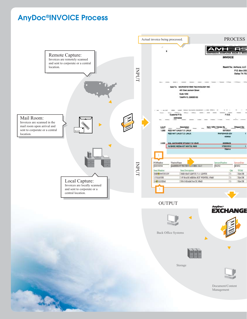# AnyDoc®INVOICE Process

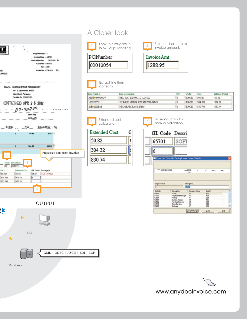

## A Closer look





| Extended cost<br>4<br>calculation. | 5                                                                       | GL Account lookup<br>and/ or validation       |                                     |                        |       |  |
|------------------------------------|-------------------------------------------------------------------------|-----------------------------------------------|-------------------------------------|------------------------|-------|--|
| C<br>Extended Cost                 |                                                                         | GL Code Descri                                |                                     |                        |       |  |
| 50.82<br>ć                         | 65701                                                                   | SOF.                                          |                                     |                        |       |  |
| 304.32<br>ć                        | 6                                                                       |                                               |                                     |                        |       |  |
| 830.74<br>۰                        |                                                                         | Value Not Found In Table gloodes.codes.GLCode |                                     |                        |       |  |
|                                    | <b>Jan Belows Lewis County</b><br><b>Miladolph Internet Audi Answer</b> |                                               | ARTISTER<br><b>BREADWAY</b><br>chia | mar.                   | Not 1 |  |
|                                    | <b>Original Value</b>                                                   |                                               |                                     | Change To<br>$(1 - 1)$ |       |  |
|                                    | <b>GLCode</b>                                                           | Description                                   | Company Code                        | Deptil                 |       |  |
|                                    | 60501                                                                   | Travel                                        | 14                                  | 622                    |       |  |
|                                    | 61000<br>62001                                                          | Freight and Pectage<br>Pinting                | 15<br>11                            | 423<br>233             |       |  |
|                                    | 62501                                                                   | <b>Building Repairs</b>                       | 12                                  | 456                    |       |  |
|                                    | 62502<br>64514                                                          | <b>Furnisee Report</b><br>Tech Services       | 13                                  | 789<br>124             |       |  |
|                                    | 65701                                                                   | Solimare                                      | $\frac{16}{17}$                     | 125                    |       |  |
|                                    |                                                                         |                                               | <b>Accept Change</b>                | Query                  | Help  |  |

Price

50.820

304.320

Extended Cost

50.82

304.32

830.74

OUTPUT  $\blacktriangleright$ 

XML | ODBC | ASCII | EDI | NSF

ERP

Databases

<u>it</u>

www.anydocinvoice.com